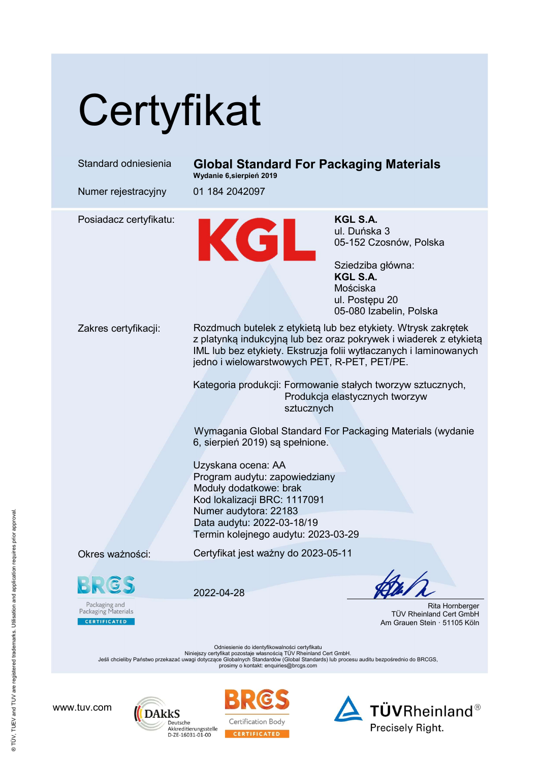# **Certyfikat**

Standard odniesienia Global Standard For Packaging Materials Wydanie 6,sierpień 2019 Numer rejestracyjny 01 184 2042097 Posiadacz certyfikatu:<br>
M. Duńska ul. Duńska ul. Duńska ul. Duńska bar de Maria (1951-152 Cz ul. Duńska 3 05-152 Czosnów, Polska Sziedziba główna: KGL S.A. Mościska ul. Postępu 20 05-080 Izabelin, Polska Zakres certyfikacji: Rozdmuch butelek z etykietą lub bez etykiety. Wtrysk zakrętek z platynką indukcyjną lub bez oraz pokrywek i wiaderek z etykietą IML lub bez etykiety. Ekstruzja folii wytłaczanych i laminowanych jedno i wielowarstwowych PET, R-PET, PET/PE. Kategoria produkcji: Formowanie stałych tworzyw sztucznych, Produkcja elastycznych tworzyw sztucznych Wymagania Global Standard For Packaging Materials (wydanie 6, sierpień 2019) są spełnione. Uzyskana ocena: AA Program audytu: zapowiedziany Moduły dodatkowe: brak Kod lokalizacji BRC: 1117091 Numer audytora: 22183 Data audytu: 2022-03-18/19 Termin kolejnego audytu: 2023-03-29 Okres ważności: Certyfikat jest ważny do 2023-05-11 2022-04-28 Packaging and<br>Packaging Materials Rita Hornberger TÜV Rheinland Cert GmbH CERTIFICATED Am Grauen Stein · 51105 Köln

Odniesienie do identyfikowalności certyfikatu Niniejszy certyfikat pozostaje własnością TÜV Rheinland Cert GmbH.<br>Jeśli chcieliby Państwo przekazać uwagi dotyczące Globalnych Standardów (Global Standards) lub procesu auditu bezpośrednio do BRCGS,

prosimy o kontakt: enquiries@brcgs.com

www.tuv.com





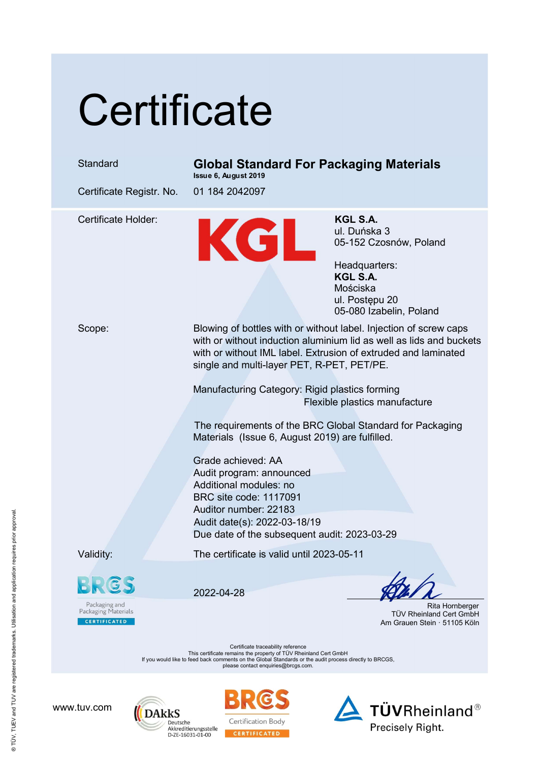### **Certificate**

### Standard Global Standard For Packaging Materials

Issue 6, August 2019

Certificate Registr. No. 01 184 2042097

Certificate Holder: KGL S.A.<br>
ul. Duńska<br>
05-152 Cz ul. Duńska 3 05-152 Czosnów, Poland

Headquarters: KGL S.A. Mościska ul. Postępu 20 05-080 Izabelin, Poland

Scope: Blowing of bottles with or without label. Injection of screw caps with or without induction aluminium lid as well as lids and buckets with or without IML label. Extrusion of extruded and laminated single and multi-layer PET, R-PET, PET/PE.

> Manufacturing Category: Rigid plastics forming Flexible plastics manufacture

The requirements of the BRC Global Standard for Packaging Materials (Issue 6, August 2019) are fulfilled.

Grade achieved: AA Audit program: announced Additional modules: no BRC site code: 1117091 Auditor number: 22183 Audit date(s): 2022-03-18/19 Due date of the subsequent audit: 2023-03-29

Validity: The certificate is valid until 2023-05-11

Packaging and<br>Packaging Materials **CERTIFICATED** 

2022-04-28

 Rita Hornberger TÜV Rheinland Cert GmbH Am Grauen Stein · 51105 Köln

Certificate traceability reference This certificate remains the property of TÜV Rheinland Cert GmbH If you would like to feed back comments on the Global Standards or the audit process directly to BRCGS, please contact enquiries@brcgs.com.

www.tuv.com